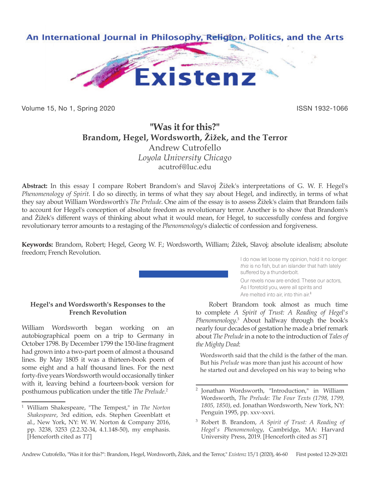

Volume 15, No 1, Spring 2020 **ISSN 1932-1066** ISSN 1932-1066

# **"Was it for this?" Brandom, Hegel, Wordsworth, Žižek, and the Terror** Andrew Cutrofello *Loyola University Chicago* acutrof@luc.edu

**Abstract:** In this essay I compare Robert Brandom's and Slavoj Žižek's interpretations of G. W. F. Hegel's *Phenomenology of Spirit*. I do so directly, in terms of what they say about Hegel, and indirectly, in terms of what they say about William Wordsworth's *The Prelude*. One aim of the essay is to assess Žižek's claim that Brandom fails to account for Hegel's conception of absolute freedom as revolutionary terror. Another is to show that Brandom's and Žižek's different ways of thinking about what it would mean, for Hegel, to successfully confess and forgive revolutionary terror amounts to a restaging of the *Phenomenology*'s dialectic of confession and forgiveness.

**Keywords:** Brandom, Robert; Hegel, Georg W. F.; Wordsworth, William; Žižek, Slavoj; absolute idealism; absolute freedom; French Revolution.

#### **Hegel's and Wordsworth's Responses to the French Revolution**

William Wordsworth began working on an autobiographical poem on a trip to Germany in October 1798. By December 1799 the 150-line fragment had grown into a two-part poem of almost a thousand lines. By May 1805 it was a thirteen-book poem of some eight and a half thousand lines. For the next forty-five years Wordsworth would occasionally tinker with it, leaving behind a fourteen-book version for posthumous publication under the title *The Prelude*. 2

I do now let loose my opinion, hold it no longer: *this* is no fish, but an islander that hath lately suffered by a thunderbolt. Our revels now are ended. These our actors, As I foretold you, were all spirits and Are melted into air, into thin air.<sup>1</sup>

Robert Brandom took almost as much time to complete *A Spirit of Trust: A Reading of Hegel's Phenomenology*. 3 About halfway through the book's nearly four decades of gestation he made a brief remark about *The Prelude* in a note to the introduction of *Tales of the Mighty Dead*:

Wordsworth said that the child is the father of the man. But his *Prelude* was more than just his account of how he started out and developed on his way to being who

<sup>1</sup> William Shakespeare, "The Tempest," in *The Norton Shakespeare*, 3rd edition, eds. Stephen Greenblatt et al., New York, NY: W. W. Norton & Company 2016, pp. 3238, 3253 (2.2.32-34, 4.1.148-50), my emphasis. [Henceforth cited as *TT*]

<sup>2</sup> Jonathan Wordsworth, "Introduction," in William Wordsworth, *The Prelude: The Four Texts (1798, 1799, 1805, 1850)*, ed. Jonathan Wordsworth, New York, NY: Penguin 1995, pp. xxv-xxvi.

<sup>3</sup> Robert B. Brandom, *A Spirit of Trust: A Reading of Hegel's Phenomenology*, Cambridge, MA: Harvard University Press, 2019. [Henceforth cited as *ST*]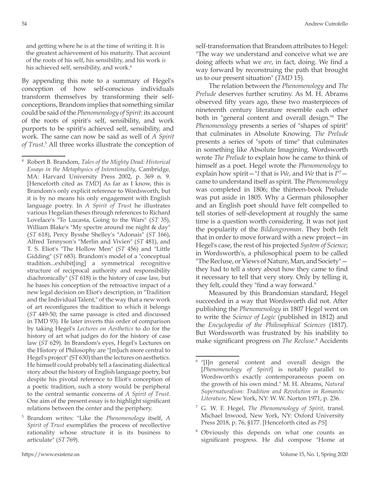and getting where he is at the time of writing it. It is the greatest achievement of his maturity. That account of the roots of his self, his sensibility, and his work *is* his achieved self, sensibility, and work.<sup>4</sup>

By appending this note to a summary of Hegel's conception of how self-conscious individuals transform themselves by transforming their selfconceptions, Brandom implies that something similar could be said of the *Phenomenology of Spirit*: its account of the roots of spirit's self, sensibility, and work purports to be spirit's achieved self, sensibility, and work. The same can now be said as well of *A Spirit of Trust*. 5 All three works illustrate the conception of self-transformation that Brandom attributes to Hegel: "The way we understand and conceive what we are doing affects what we *are*, in fact, doing. We find a way forward by reconstruing the path that brought us to our present situation" (*TMD* 15).

The relation between the *Phenomenology* and *The Prelude* deserves further scrutiny. As M. H. Abrams observed fifty years ago, these two masterpieces of nineteenth century literature resemble each other both in "general content and overall design."6 The *Phenomenology* presents a series of "shapes of spirit" that culminates in Absolute Knowing. *The Prelude*  presents a series of "spots of time" that culminates in something like Absolute Imagining. Wordsworth wrote *The Prelude* to explain how he came to think of himself as a poet. Hegel wrote the *Phenomenology* to explain how spirit—"*I* that is *We*, and *We* that is *I*"7 came to understand itself as spirit. The *Phenomenology* was completed in 1806; the thirteen-book Prelude was put aside in 1805. Why a German philosopher and an English poet should have felt compelled to tell stories of self-development at roughly the same time is a question worth considering. It was not just the popularity of the *Bildungsroman*. They both felt that in order to move forward with a new project—in Hegel's case, the rest of his projected *System of Science*; in Wordsworth's, a philosophical poem to be called "The Recluse, or Views of Nature, Man, and Society" they had to tell a story about how they came to find it necessary to tell that very story. Only by telling it, they felt, could they "find a way forward."

Measured by this Brandomian standard, Hegel succeeded in a way that Wordsworth did not. After publishing the *Phenomenology* in 1807 Hegel went on to write the *Science of Logic* (published in 1812) and the *Encyclopedia of the Philosophical Sciences* (1817). But Wordsworth was frustrated by his inability to make significant progress on *The Recluse*. 8 Accidents

<sup>4</sup> Robert B. Brandom, *Tales of the Mighty Dead: Historical Essays in the Metaphysics of Intentionality*, Cambridge, MA: Harvard University Press 2002, p. 369 n. 9. [Henceforth cited as *TMD*] As far as I know, this is Brandom's only explicit reference to Wordsworth, but it is by no means his only engagement with English language poetry. In *A Spirit of Trust* he illustrates various Hegelian theses through references to Richard Lovelace's "To Lucasta, Going to the Wars" (*ST* 35), William Blake's "My spectre around me night & day" (*ST* 618), Percy Bysshe Shelley's "Adonais" (*ST* 166), Alfred Tennyson's "Merlin and Vivien" (*ST* 481), and T. S. Eliot's "The Hollow Men" (*ST* 456) and "Little Gidding" (*ST* 683). Brandom's model of a "conceptual tradition...exhibit[ing] a symmetrical recognitive structure of reciprocal authority and responsibility diachronically" (*ST* 618) is the history of case law, but he bases his conception of the retroactive impact of a new legal decision on Eliot's description, in "Tradition and the Individual Talent," of the way that a new work of art reconfigures the tradition to which it belongs (*ST* 449-50; the same passage is cited and discussed in TMD 93). He later inverts this order of comparison by taking Hegel's *Lectures on Aesthetics* to do for the history of art what judges do for the history of case law (*ST* 629). In Brandom's eyes, Hegel's Lectures on the History of Philosophy are "[m]uch more central to Hegel's project" (ST 630) than the lectures on aesthetics. He himself could probably tell a fascinating dialectical story about the history of English language poetry, but despite his pivotal reference to Eliot's conception of a poetic tradition, such a story would be peripheral to the central semantic concerns of *A Spirit of Trust*. One aim of the present essay is to highlight significant relations between the center and the periphery.

<sup>5</sup> Brandom writes: "Like the *Phenomenology* itself, *A Spirit of Trust* exemplifies the process of recollective rationality whose structure it is its business to articulate" (*ST* 769).

<sup>&</sup>lt;sup>6</sup> "[I]n general content and overall design the [*Phenomenology of Spirit*] is notably parallel to Wordsworth's exactly contemporaneous poem on the growth of his own mind." M. H. Abrams, *Natural Supernaturalism: Tradition and Revolution in Romantic Literature*, New York, NY: W. W. Norton 1971, p. 236.

<sup>7</sup> G. W. F. Hegel, *The Phenomenology of Spirit*, transl. Michael Inwood, New York, NY: Oxford University Press 2018, p. 76, §177. [Henceforth cited as *PS*]

Obviously this depends on what one counts as significant progress. He did compose "Home at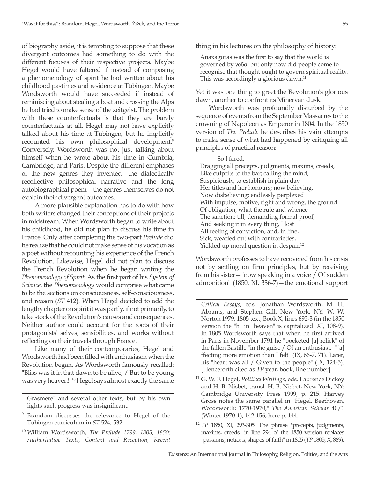of biography aside, it is tempting to suppose that these divergent outcomes had something to do with the different focuses of their respective projects. Maybe Hegel would have faltered if instead of composing a phenomenology of spirit he had written about his childhood pastimes and residence at Tübingen. Maybe Wordsworth would have succeeded if instead of reminiscing about stealing a boat and crossing the Alps he had tried to make sense of the zeitgeist. The problem with these counterfactuals is that they are barely counterfactuals at all. Hegel may not have explicitly talked about his time at Tübingen, but he implicitly recounted his own philosophical development.<sup>9</sup> Conversely, Wordsworth was not just talking about himself when he wrote about his time in Cumbria, Cambridge, and Paris. Despite the different emphases of the new genres they invented—the dialectically recollective philosophical narrative and the long autobiographical poem—the genres themselves do not explain their divergent outcomes.

A more plausible explanation has to do with how both writers changed their conceptions of their projects in midstream. When Wordsworth began to write about his childhood, he did not plan to discuss his time in France. Only after completing the two-part *Prelude* did he realize that he could not make sense of his vocation as a poet without recounting his experience of the French Revolution. Likewise, Hegel did not plan to discuss the French Revolution when he began writing the *Phenomenology of Spirit*. As the first part of his *System of Science*, the *Phenomenology* would comprise what came to be the sections on consciousness, self-consciousness, and reason (*ST* 412). When Hegel decided to add the lengthy chapter on spirit it was partly, if not primarily, to take stock of the Revolution's causes and consequences. Neither author could account for the roots of their protagonists' selves, sensibilities, and works without reflecting on their travels through France.

Like many of their contemporaries, Hegel and Wordsworth had been filled with enthusiasm when the Revolution began. As Wordsworth famously recalled: "Bliss was it in that dawn to be alive, / But to be young was very heaven!"10 Hegel says almost exactly the same

<sup>10</sup> William Wordsworth, *The Prelude 1799, 1805, 1850: Authoritative Texts, Context and Reception, Recent*  thing in his lectures on the philosophy of history:

Anaxagoras was the first to say that the world is governed by νοῦσ; but only now did people come to recognise that thought ought to govern spiritual reality. This was accordingly a glorious dawn.<sup>11</sup>

Yet it was one thing to greet the Revolution's glorious dawn, another to confront its Minervan dusk.

Wordsworth was profoundly disturbed by the sequence of events from the September Massacres to the crowning of Napoleon as Emperor in 1804. In the 1850 version of *The Prelude* he describes his vain attempts to make sense of what had happened by critiquing all principles of practical reason:

So I fared, Dragging all precepts, judgments, maxims, creeds, Like culprits to the bar; calling the mind, Suspiciously, to establish in plain day Her titles and her honours; now believing, Now disbelieving; endlessly perplexed With impulse, motive, right and wrong, the ground Of obligation, what the rule and whence The sanction; till, demanding formal proof, And seeking it in every thing, I lost All feeling of conviction, and, in fine, Sick, wearied out with contrarieties, Yielded up moral question in despair.<sup>12</sup>

Wordsworth professes to have recovered from his crisis not by settling on firm principles, but by receiving from his sister—"now speaking in a voice / Of sudden admonition" (1850, XI, 336-7)—the emotional support

Grasmere" and several other texts, but by his own lights such progress was insignificant.

<sup>9</sup> Brandom discusses the relevance to Hegel of the Tübingen curriculum in *ST* 524, 532.

*Critical Essays*, eds. Jonathan Wordsworth, M. H. Abrams, and Stephen Gill, New York, NY: W. W. Norton 1979, 1805 text, Book X, lines 692-3 (in the 1850 version the "h" in "heaven" is capitalized: XI, 108-9). In 1805 Wordsworth says that when he first arrived in Paris in November 1791 he "pocketed [a] relick" of the fallen Bastille "in the guise / Of an enthusiast," "[a] ffecting more emotion than I felt" (IX, 66-7, 71). Later, his "heart was all / Given to the people" (IX, 124-5). [Henceforth cited as *TP* year, book, line number]

<sup>11</sup> G. W. F. Hegel, *Political Writings*, eds. Laurence Dickey and H. B. Nisbet, transl. H. B. Nisbet, New York, NY: Cambridge University Press 1999, p. 215. Harvey Gross notes the same parallel in "Hegel, Beethoven, Wordsworth: 1770-1970," *The American Scholar* 40/1 (Winter 1970-1), 142-156, here p. 144.

<sup>12</sup> *TP* 1850, XI, 293-305. The phrase "precepts, judgments, maxims, creeds" in line 294 of the 1850 version replaces "passions, notions, shapes of faith" in 1805 (*TP* 1805, X, 889).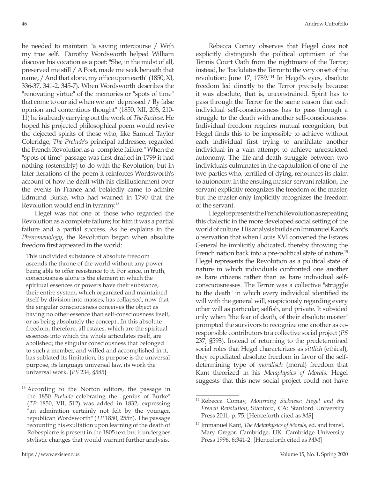he needed to maintain "a saving intercourse / With my true self." Dorothy Wordsworth helped William discover his vocation as a poet: "She, in the midst of all, preserved me still / A Poet, made me seek beneath that name, / And that alone, my office upon earth" (1850, XI, 336-37, 341-2, 345-7). When Wordsworth describes the "renovating virtue" of the memories or "spots of time" that come to our aid when we are "depressed / By false opinion and contentious thought" (1850, XII, 208, 210- 11) he is already carrying out the work of *The Recluse*. He hoped his projected philosophical poem would revive the dejected spirits of those who, like Samuel Taylor Coleridge, *The Prelude*'s principal addressee, regarded the French Revolution as a "complete failure." When the "spots of time" passage was first drafted in 1799 it had nothing (ostensibly) to do with the Revolution, but in later iterations of the poem it reinforces Wordsworth's account of how he dealt with his disillusionment over the events in France and belatedly came to admire Edmund Burke, who had warned in 1790 that the Revolution would end in tyranny.13

Hegel was not one of those who regarded the Revolution as a complete failure; for him it was a partial failure and a partial success. As he explains in the *Phenomenology*, the Revolution began when absolute freedom first appeared in the world:

This undivided substance of absolute freedom ascends the throne of the world without any power being able to offer resistance to it. For since, in truth, consciousness alone is the element in which the spiritual essences or powers have their substance, their entire system, which organized and maintained itself by division into masses, has collapsed, now that the singular consciousness conceives the object as having no other essence than self-consciousness itself, or as being absolutely the concept...In this absolute freedom, therefore, all estates, which are the spiritual essences into which the whole articulates itself, are abolished; the singular consciousness that belonged to such a member, and willed and accomplished in it, has sublated its limitation; its purpose is the universal purpose, its language universal law, its work the universal work. [*PS* 234, §585]

Rebecca Comay observes that Hegel does not explicitly distinguish the political optimism of the Tennis Court Oath from the nightmare of the Terror; instead, he "backdates the Terror to the very onset of the revolution: June 17, 1789."14 In Hegel's eyes, absolute freedom led directly to the Terror precisely because it was absolute, that is, unconstrained. Spirit has to pass through the Terror for the same reason that each individual self-consciousness has to pass through a struggle to the death with another self-consciousness. Individual freedom requires mutual recognition, but Hegel finds this to be impossible to achieve without each individual first trying to annihilate another individual in a vain attempt to achieve unrestricted autonomy. The life-and-death struggle between two individuals culminates in the capitulation of one of the two parties who, terrified of dying, renounces its claim to autonomy. In the ensuing master-servant relation, the servant explicitly recognizes the freedom of the master, but the master only implicitly recognizes the freedom of the servant.

Hegel represents the French Revolution as repeating this dialectic in the more developed social setting of the world of culture. His analysis builds on Immanuel Kant's observation that when Louis XVI convened the Estates General he implicitly abdicated, thereby throwing the French nation back into a pre-political state of nature.<sup>15</sup> Hegel represents the Revolution as a political state of nature in which individuals confronted one another as bare citizens rather than as bare individual selfconsciousnesses. The Terror was a collective "struggle to the death" in which every individual identified its will with the general will, suspiciously regarding every other will as particular, selfish, and private. It subsided only when "the fear of death, of their absolute master" prompted the survivors to recognize one another as coresponsible contributors to a collective social project (*PS* 237, §593). Instead of returning to the predetermined social roles that Hegel characterizes as *sittlich* (ethical), they repudiated absolute freedom in favor of the selfdetermining type of *moralisch* (moral) freedom that Kant theorized in his *Metaphysics of Morals*. Hegel suggests that this new social project could not have

<sup>&</sup>lt;sup>13</sup> According to the Norton editors, the passage in the 1850 *Prelude* celebrating the "genius of Burke" (*TP* 1850, VII, 512) was added in 1832, expressing "an admiration certainly not felt by the younger, republican Wordsworth" (*TP* 1850, 255n). The passage recounting his exultation upon learning of the death of Robespierre is present in the 1805 text but it undergoes stylistic changes that would warrant further analysis.

<sup>14</sup> Rebecca Comay, *Mourning Sickness: Hegel and the French Revolution*, Stanford, CA: Stanford University Press 2011, p. 75. [Henceforth cited as *MS*]

<sup>15</sup> Immanuel Kant, *The Metaphysics of Morals*, ed. and transl. Mary Gregor, Cambridge, UK: Cambridge University Press 1996, 6:341-2. [Henceforth cited as *MM*]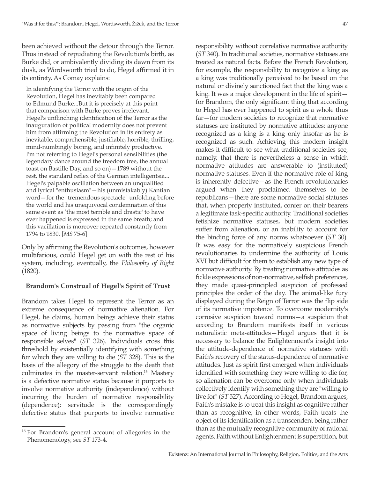been achieved without the detour through the Terror. Thus instead of repudiating the Revolution's birth, as Burke did, or ambivalently dividing its dawn from its dusk, as Wordsworth tried to do, Hegel affirmed it in its entirety. As Comay explains:

In identifying the Terror with the origin of the Revolution, Hegel has inevitably been compared to Edmund Burke...But it is precisely at this point that comparison with Burke proves irrelevant. Hegel's unflinching identification of the Terror as the inauguration of political modernity does not prevent him from affirming the Revolution in its entirety as inevitable, comprehensible, justifiable, horrible, thrilling, mind-numbingly boring, and infinitely productive. I'm not referring to Hegel's personal sensibilities (the legendary dance around the freedom tree, the annual toast on Bastille Day, and so on)—1789 without the rest, the standard reflex of the German intelligentsia... Hegel's palpable oscillation between an unqualified and lyrical "enthusiasm"—his (unmistakably) Kantian word—for the "tremendous spectacle" unfolding before the world and his unequivocal condemnation of this same event as 'the most terrible and drastic' to have ever happened is expressed in the same breath; and this vacillation is moreover repeated constantly from 1794 to 1830. [*MS* 75-6]

Only by affirming the Revolution's outcomes, however multifarious, could Hegel get on with the rest of his system, including, eventually, the *Philosophy of Right*  (1820).

### **Brandom's Construal of Hegel's Spirit of Trust**

Brandom takes Hegel to represent the Terror as an extreme consequence of normative alienation. For Hegel, he claims, human beings achieve their status as normative subjects by passing from "the organic space of living beings to the normative space of responsible selves" (*ST* 326). Individuals cross this threshold by existentially identifying with something for which they are willing to die (*ST* 328). This is the basis of the allegory of the struggle to the death that culminates in the master-servant relation.<sup>16</sup> Mastery is a defective normative status because it purports to involve normative authority (independence) without incurring the burden of normative responsibility (dependence); servitude is the correspondingly defective status that purports to involve normative responsibility without correlative normative authority (*ST* 340). In traditional societies, normative statuses are treated as natural facts. Before the French Revolution, for example, the responsibility to recognize a king as a king was traditionally perceived to be based on the natural or divinely sanctioned fact that the king was a king. It was a major development in the life of spirit for Brandom, the only significant thing that according to Hegel has ever happened to spirit as a whole thus far—for modern societies to recognize that normative statuses are instituted by normative attitudes: anyone recognized as a king is a king only insofar as he is recognized as such. Achieving this modern insight makes it difficult to see what traditional societies see, namely, that there is nevertheless a sense in which normative attitudes are answerable to (instituted) normative statuses. Even if the normative role of king is inherently defective—as the French revolutionaries argued when they proclaimed themselves to be republicans—there are some normative social statuses that, when properly instituted, confer on their bearers a legitimate task-specific authority. Traditional societies fetishize normative statuses, but modern societies suffer from alienation, or an inability to account for the binding force of any norms whatsoever (*ST* 30). It was easy for the normatively suspicious French revolutionaries to undermine the authority of Louis XVI but difficult for them to establish any new type of normative authority. By treating normative attitudes as fickle expressions of non-normative, selfish preferences, they made quasi-principled suspicion of professed principles the order of the day. The animal-like fury displayed during the Reign of Terror was the flip side of its normative impotence. To overcome modernity's corrosive suspicion toward norms—a suspicion that according to Brandom manifests itself in various naturalistic meta-attitudes—Hegel argues that it is necessary to balance the Enlightenment's insight into the attitude-dependence of normative statuses with Faith's recovery of the status-dependence of normative attitudes. Just as spirit first emerged when individuals identified with something they were willing to die for, so alienation can be overcome only when individuals collectively identify with something they are "willing to live for" (*ST* 527). According to Hegel, Brandom argues, Faith's mistake is to treat this insight as cognitive rather than as recognitive; in other words, Faith treats the object of its identification as a transcendent being rather than as the mutually recognitive community of rational agents. Faith without Enlightenment is superstition, but

<sup>16</sup> For Brandom's general account of allegories in the Phenomenology, see *ST* 173-4.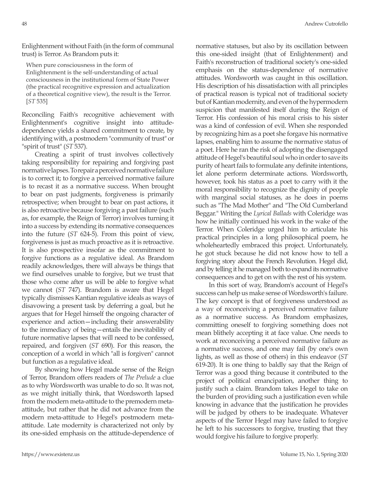Enlightenment without Faith (in the form of communal trust) is Terror. As Brandom puts it:

When pure consciousness in the form of Enlightenment is the self-understanding of actual consciousness in the institutional form of State Power (the practical recognitive expression and actualization of a theoretical cognitive view), the result is the Terror. [*ST* 535]

Reconciling Faith's recognitive achievement with Enlightenment's cognitive insight into attitudedependence yields a shared commitment to create, by identifying with, a postmodern "community of trust" or "spirit of trust" (*ST* 537).

Creating a spirit of trust involves collectively taking responsibility for repairing and forgiving past normative lapses. To repair a perceived normative failure is to correct it; to forgive a perceived normative failure is to recast it as a normative success. When brought to bear on past judgments, forgiveness is primarily retrospective; when brought to bear on past actions, it is also retroactive because forgiving a past failure (such as, for example, the Reign of Terror) involves turning it into a success by extending its normative consequences into the future (*ST* 624-5). From this point of view, forgiveness is just as much proactive as it is retroactive. It is also prospective insofar as the commitment to forgive functions as a regulative ideal. As Brandom readily acknowledges, there will always be things that we find ourselves unable to forgive, but we trust that those who come after us will be able to forgive what we cannot (*ST* 747). Brandom is aware that Hegel typically dismisses Kantian regulative ideals as ways of disavowing a present task by deferring a goal, but he argues that for Hegel himself the ongoing character of experience and action—including their answerability to the immediacy of being—entails the inevitability of future normative lapses that will need to be confessed, repaired, and forgiven (*ST* 690). For this reason, the conception of a world in which "all is forgiven" cannot but function as a regulative ideal.

By showing how Hegel made sense of the Reign of Terror, Brandom offers readers of *The Prelude* a clue as to why Wordsworth was unable to do so. It was not, as we might initially think, that Wordsworth lapsed from the modern meta-attitude to the premodern metaattitude, but rather that he did not advance from the modern meta-attitude to Hegel's postmodern metaattitude. Late modernity is characterized not only by its one-sided emphasis on the attitude-dependence of normative statuses, but also by its oscillation between this one-sided insight (that of Enlightenment) and Faith's reconstruction of traditional society's one-sided emphasis on the status-dependence of normative attitudes. Wordsworth was caught in this oscillation. His description of his dissatisfaction with all principles of practical reason is typical not of traditional society but of Kantian modernity, and even of the hypermodern suspicion that manifested itself during the Reign of Terror. His confession of his moral crisis to his sister was a kind of confession of evil. When she responded by recognizing him as a poet she forgave his normative lapses, enabling him to assume the normative status of a poet. Here he ran the risk of adopting the disengaged attitude of Hegel's beautiful soul who in order to save its purity of heart fails to formulate any definite intentions, let alone perform determinate actions. Wordsworth, however, took his status as a poet to carry with it the moral responsibility to recognize the dignity of people with marginal social statuses, as he does in poems such as "The Mad Mother" and "The Old Cumberland Beggar." Writing the *Lyrical Ballads* with Coleridge was how he initially continued his work in the wake of the Terror. When Coleridge urged him to articulate his practical principles in a long philosophical poem, he wholeheartedly embraced this project. Unfortunately, he got stuck because he did not know how to tell a forgiving story about the French Revolution. Hegel did, and by telling it he managed both to expand its normative consequences and to get on with the rest of his system.

In this sort of way, Brandom's account of Hegel's success can help us make sense of Wordsworth's failure. The key concept is that of forgiveness understood as a way of reconceiving a perceived normative failure as a normative success. As Brandom emphasizes, committing oneself to forgiving something does not mean blithely accepting it at face value. One needs to work at reconceiving a perceived normative failure as a normative success, and one may fail (by one's own lights, as well as those of others) in this endeavor (*ST* 619-20). It is one thing to baldly say that the Reign of Terror was a good thing because it contributed to the project of political emancipation, another thing to justify such a claim. Brandom takes Hegel to take on the burden of providing such a justification even while knowing in advance that the justification he provides will be judged by others to be inadequate. Whatever aspects of the Terror Hegel may have failed to forgive he left to his successors to forgive, trusting that they would forgive his failure to forgive properly.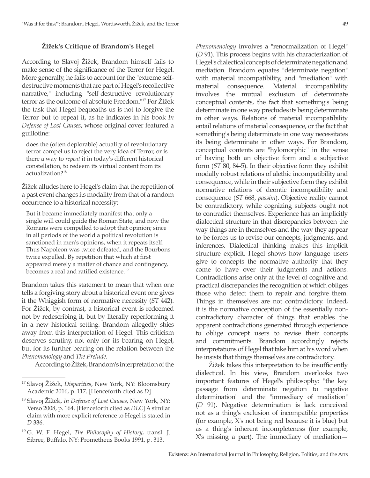## **Žižek's Critique of Brandom's Hegel**

According to Slavoj Žižek, Brandom himself fails to make sense of the significance of the Terror for Hegel. More generally, he fails to account for the "extreme selfdestructive moments that are part of Hegel's recollective narrative," including "self-destructive revolutionary terror as the outcome of absolute Freedom."17 For Žižek the task that Hegel bequeaths us is not to forgive the Terror but to repeat it, as he indicates in his book *In Defense of Lost Causes*, whose original cover featured a guillotine:

does the (often deplorable) actuality of revolutionary terror compel us to reject the very idea of Terror, or is there a way to *repeat* it in today's different historical constellation, to redeem its virtual content from its actualization?18

Žižek alludes here to Hegel's claim that the repetition of a past event changes its modality from that of a random occurrence to a historical necessity:

But it became immediately manifest that only a single will could guide the Roman State, and now the Romans were compelled to adopt that opinion; since in all periods of the world a political revolution is sanctioned in men's opinions, when it repeats itself. Thus Napoleon was twice defeated, and the Bourbons twice expelled. By repetition that which at first appeared merely a matter of chance and contingency, becomes a real and ratified existence.<sup>19</sup>

Brandom takes this statement to mean that when one tells a forgiving story about a historical event one gives it the Whiggish form of normative necessity (*ST* 442). For Žižek, by contrast, a historical event is redeemed not by redescribing it, but by literally reperforming it in a new historical setting. Brandom allegedly shies away from this interpretation of Hegel. This criticism deserves scrutiny, not only for its bearing on Hegel, but for its further bearing on the relation between the *Phenomenology* and *The Prelude*.

According to Žižek, Brandom's interpretation of the

*Phenomenology* involves a "renormalization of Hegel" (*D* 91). This process begins with his characterization of Hegel's dialectical concepts of determinate negation and mediation. Brandom equates "determinate negation" with material incompatibility, and "mediation" with material consequence. Material incompatibility involves the mutual exclusion of determinate conceptual contents, the fact that something's being determinate in one way precludes its being determinate in other ways. Relations of material incompatibility entail relations of material consequence, or the fact that something's being determinate in one way necessitates its being determinate in other ways. For Brandom, conceptual contents are "hylomorphic" in the sense of having both an objective form and a subjective form (*ST* 80, 84-5). In their objective form they exhibit modally robust relations of alethic incompatibility and consequence, while in their subjective form they exhibit normative relations of deontic incompatibility and consequence (*ST* 668, *passim*). Objective reality cannot be contradictory, while cognizing subjects ought not to contradict themselves. Experience has an implicitly dialectical structure in that discrepancies between the way things are in themselves and the way they appear to be forces us to revise our concepts, judgments, and inferences. Dialectical thinking makes this implicit structure explicit. Hegel shows how language users give to concepts the normative authority that they come to have over their judgments and actions. Contradictions arise only at the level of cognitive and practical discrepancies the recognition of which obliges those who detect them to repair and forgive them. Things in themselves are not contradictory. Indeed, it is the normative conception of the essentially noncontradictory character of things that enables the apparent contradictions generated through experience to oblige concept users to revise their concepts and commitments. Brandom accordingly rejects interpretations of Hegel that take him at his word when he insists that things themselves are contradictory.

Žižek takes this interpretation to be insufficiently dialectical. In his view, Brandom overlooks two important features of Hegel's philosophy: "the key passage from determinate negation to negative determination" and the "immediacy of mediation" (*D* 91). Negative determination is lack conceived not as a thing's exclusion of incompatible properties (for example, X's not being red because it is blue) but as a thing's inherent incompleteness (for example, X's missing a part). The immediacy of mediation—

<sup>17</sup> Slavoj Žižek, *Disparities*, New York, NY: Bloomsbury Academic 2016, p. 117. [Henceforth cited as *D*]

<sup>18</sup> Slavoj Žižek, *In Defense of Lost Causes*, New York, NY: Verso 2008, p. 164. [Henceforth cited as *DLC*] A similar claim with more explicit reference to Hegel is stated in *D* 336.

<sup>19</sup> G. W. F. Hegel, *The Philosophy of History*, transl. J. Sibree, Buffalo, NY: Prometheus Books 1991, p. 313.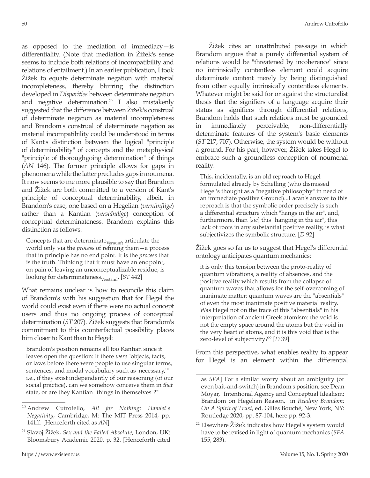as opposed to the mediation of immediacy—is differentiality. (Note that mediation in Žižek's sense seems to include both relations of incompatibility and relations of entailment.) In an earlier publication, I took Žižek to equate determinate negation with material incompleteness, thereby blurring the distinction developed in *Disparities* between determinate negation and negative determination.<sup>20</sup> I also mistakenly suggested that the difference between Žižek's construal of determinate negation as material incompleteness and Brandom's construal of determinate negation as material incompatibility could be understood in terms of Kant's distinction between the logical "principle of determinability" of concepts and the metaphysical "principle of thoroughgoing determination" of things (*AN* 146). The former principle allows for gaps in phenomena while the latter precludes gaps in noumena. It now seems to me more plausible to say that Brandom and Žižek are both committed to a version of Kant's principle of conceptual determinability, albeit, in Brandom's case, one based on a Hegelian (*vernünftige*) rather than a Kantian (*verständige*) conception of conceptual determinateness. Brandom explains this distinction as follows:

Concepts that are determinate  $_{\rm Vernunft}$  articulate the world only via the *process* of refining them—a process that in principle has no end point. It is the *process* that is the truth. Thinking that it must have an endpoint, on pain of leaving an unconceptualizable residue, is looking for determinateness<sub>Verstand</sub>. [*ST* 442]

What remains unclear is how to reconcile this claim of Brandom's with his suggestion that for Hegel the world could exist even if there were no actual concept users and thus no ongoing process of conceptual determination (*ST* 207). Žižek suggests that Brandom's commitment to this counterfactual possibility places him closer to Kant than to Hegel:

Brandom's position remains all too Kantian since it leaves open the question: If there *were* "objects, facts, or laws before there were people to use singular terms, sentences, and modal vocabulary such as 'necessary,'" i.e., if they exist independently of our reasoning (of our social practice), can we somehow conceive them in *that*  state, or are they Kantian "things in themselves"?<sup>21</sup>

Žižek cites an unattributed passage in which Brandom argues that a purely differential system of relations would be "threatened by incoherence" since no intrinsically contentless element could acquire determinate content merely by being distinguished from other equally intrinsically contentless elements. Whatever might be said for or against the structuralist thesis that the signifiers of a language acquire their status as signifiers through differential relations, Brandom holds that such relations must be grounded in immediately perceivable, non-differentially determinate features of the system's basic elements (*ST* 217, 707). Otherwise, the system would be without a ground. For his part, however, Žižek takes Hegel to embrace such a groundless conception of noumenal reality:

This, incidentally, is an old reproach to Hegel formulated already by Schelling (who dismissed Hegel's thought as a "negative philosophy" in need of an immediate positive Ground)...Lacan's answer to this reproach is that the symbolic order precisely is such a differential structure which "hangs in the air", and, furthermore, than [*sic*] this "hanging in the air", this lack of roots in any substantial positive reality, is what subjectivizes the symbolic structure. [*D* 92]

Žižek goes so far as to suggest that Hegel's differential ontology anticipates quantum mechanics:

it is only this tension between the proto-reality of quantum vibrations, a reality of absences, and the positive reality which results from the collapse of quantum waves that allows for the self-overcoming of inanimate matter: quantum waves are the "absentials" of even the most inanimate positive material reality. Was Hegel not on the trace of this "absentials" in his interpretation of ancient Greek atomism: the void is not the empty space around the atoms but the void in the very heart of atoms, and it is this void that is the zero-level of subjectivity?<sup>22</sup> [D 39]

From this perspective, what enables reality to appear for Hegel is an element within the differential

<sup>20</sup> Andrew Cutrofello, *All for Nothing: Hamlet's Negativity*, Cambridge, M: The MIT Press 2014, pp. 141ff. [Henceforth cited as *AN*]

<sup>21</sup> Slavoj Žižek, *Sex and the Failed Absolute*, London, UK: Bloomsbury Academic 2020, p. 32. [Henceforth cited

as *SFA*] For a similar worry about an ambiguity (or even bait-and-switch) in Brandom's position, see Dean Moyar, "Intentional Agency and Conceptual Idealism: Brandom on Hegelian Reason," in *Reading Brandom: On A Spirit of Trust*, ed. Gilles Bouché, New York, NY: Routledge 2020, pp. 87-104, here pp. 92-3.

 $22$  Elsewhere  $\ddot{Z}$ ižek indicates how Hegel's system would have to be revised in light of quantum mechanics (*SFA* 155, 283).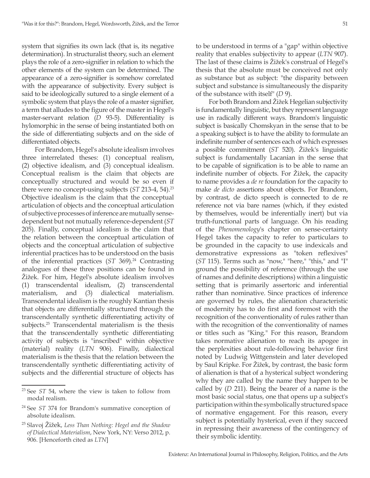system that signifies its own lack (that is, its negative determination). In structuralist theory, such an element plays the role of a zero-signifier in relation to which the other elements of the system can be determined. The appearance of a zero-signifier is somehow correlated with the appearance of subjectivity. Every subject is said to be ideologically sutured to a single element of a symbolic system that plays the role of a master signifier, a term that alludes to the figure of the master in Hegel's master-servant relation (*D* 93-5). Differentiality is hylomorphic in the sense of being instantiated both on the side of differentiating subjects and on the side of differentiated objects.

For Brandom, Hegel's absolute idealism involves three interrelated theses: (1) conceptual realism, (2) objective idealism, and (3) conceptual idealism. Conceptual realism is the claim that objects are conceptually structured and would be so even if there were no concept-using subjects (*ST* 213-4, 54).<sup>23</sup> Objective idealism is the claim that the conceptual articulation of objects and the conceptual articulation of subjective processes of inference are mutually sensedependent but not mutually reference-dependent (*ST* 205). Finally, conceptual idealism is the claim that the relation between the conceptual articulation of objects and the conceptual articulation of subjective inferential practices has to be understood on the basis of the inferential practices (*ST* 369).<sup>24</sup> Contrasting analogues of these three positions can be found in Žižek. For him, Hegel's absolute idealism involves (1) transcendental idealism, (2) transcendental materialism, and (3) dialectical materialism. Transcendental idealism is the roughly Kantian thesis that objects are differentially structured through the transcendentally synthetic differentiating activity of subjects.25 Transcendental materialism is the thesis that the transcendentally synthetic differentiating activity of subjects is "inscribed" within objective (material) reality (*LTN* 906). Finally, dialectical materialism is the thesis that the relation between the transcendentally synthetic differentiating activity of subjects and the differential structure of objects has

to be understood in terms of a "gap" within objective reality that enables subjectivity to appear (*LTN* 907). The last of these claims is Žižek's construal of Hegel's thesis that the absolute must be conceived not only as substance but as subject: "the disparity between subject and substance is simultaneously the disparity of the substance with itself" (*D* 9).

For both Brandom and Žižek Hegelian subjectivity is fundamentally linguistic, but they represent language use in radically different ways. Brandom's linguistic subject is basically Chomskyan in the sense that to be a speaking subject is to have the ability to formulate an indefinite number of sentences each of which expresses a possible commitment (*ST* 520). Žižek's linguistic subject is fundamentally Lacanian in the sense that to be capable of signification is to be able to name an indefinite number of objects. For Žižek, the capacity to name provides a *de re* foundation for the capacity to make *de dicto* assertions about objects. For Brandom, by contrast, de dicto speech is connected to de re reference not via bare names (which, if they existed by themselves, would be inferentially inert) but via truth-functional parts of language. On his reading of the *Phenomenology*'s chapter on sense-certainty Hegel takes the capacity to refer to particulars to be grounded in the capacity to use indexicals and demonstrative expressions as "token reflexives" (*ST* 115). Terms such as "now," "here," "this," and "I" ground the possibility of reference (through the use of names and definite descriptions) within a linguistic setting that is primarily assertoric and inferential rather than nominative. Since practices of inference are governed by rules, the alienation characteristic of modernity has to do first and foremost with the recognition of the conventionality of rules rather than with the recognition of the conventionality of names or titles such as "King." For this reason, Brandom takes normative alienation to reach its apogee in the perplexities about rule-following behavior first noted by Ludwig Wittgenstein and later developed by Saul Kripke. For Žižek, by contrast, the basic form of alienation is that of a hysterical subject wondering why they are called by the name they happen to be called by (*D* 211). Being the bearer of a name is the most basic social status, one that opens up a subject's participation within the symbolically structured space of normative engagement. For this reason, every subject is potentially hysterical, even if they succeed in repressing their awareness of the contingency of their symbolic identity.

<sup>23</sup> See *ST* 54, where the view is taken to follow from modal realism.

<sup>24</sup> See *ST* 374 for Brandom's summative conception of absolute idealism.

<sup>25</sup> Slavoj Žižek, *Less Than Nothing: Hegel and the Shadow of Dialectical Materialism*, New York, NY: Verso 2012, p. 906. [Henceforth cited as *LTN*]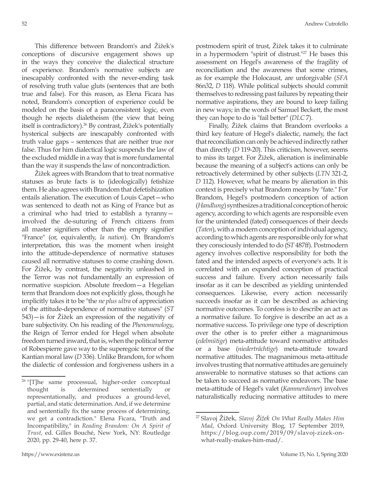This difference between Brandom's and Žižek's conceptions of discursive engagement shows up in the ways they conceive the dialectical structure of experience. Brandom's normative subjects are inescapably confronted with the never-ending task of resolving truth value gluts (sentences that are both true and false). For this reason, as Elena Ficara has noted, Brandom's conception of experience could be modeled on the basis of a paraconsistent logic, even though he rejects dialetheism (the view that being itself is contradictory).26 By contrast, Žižek's potentially hysterical subjects are inescapably confronted with truth value gaps – sentences that are neither true nor false. Thus for him dialectical logic suspends the law of the excluded middle in a way that is more fundamental than the way it suspends the law of noncontradiction.

Žižek agrees with Brandom that to treat normative statuses as brute facts is to (ideologically) fetishize them. He also agrees with Brandom that defetishization entails alienation. The execution of Louis Capet—who was sentenced to death not as King of France but as a criminal who had tried to establish a tyranny involved the de-suturing of French citizens from all master signifiers other than the empty signifier "France" (or, equivalently, *la nation*). On Brandom's interpretation, this was the moment when insight into the attitude-dependence of normative statuses caused all normative statuses to come crashing down. For Žižek, by contrast, the negativity unleashed in the Terror was not fundamentally an expression of normative suspicion. Absolute freedom—a Hegelian term that Brandom does not explicitly gloss, though he implicitly takes it to be "the *ne plus ultra* of appreciation of the attitude-dependence of normative statuses" (*ST* 543)—is for Žižek an expression of the negativity of bare subjectivity. On his reading of the *Phenomenology*, the Reign of Terror ended for Hegel when absolute freedom turned inward, that is, when the political terror of Robespierre gave way to the superegoic terror of the Kantian moral law (*D* 336). Unlike Brandom, for whom the dialectic of confession and forgiveness ushers in a postmodern spirit of trust, Žižek takes it to culminate in a hypermodern "spirit of distrust."<sup>27</sup> He bases this assessment on Hegel's awareness of the fragility of reconciliation and the awareness that some crimes, as for example the Holocaust, are unforgivable (*SFA* 86n32, *D* 118). While political subjects should commit themselves to redressing past failures by repeating their normative aspirations, they are bound to keep failing in new ways; in the words of Samuel Beckett, the most they can hope to do is "fail better" (*DLC* 7).

Finally, Žižek claims that Brandom overlooks a third key feature of Hegel's dialectic, namely, the fact that reconciliation can only be achieved indirectly rather than directly (*D* 119-20). This criticism, however, seems to miss its target. For Žižek, alienation is ineliminable because the meaning of a subject's actions can only be retroactively determined by other subjects (*LTN* 321-2, *D* 112). However, what he means by alienation in this context is precisely what Brandom means by "fate." For Brandom, Hegel's postmodern conception of action (*Handlung*) synthesizes a traditional conception of heroic agency, according to which agents are responsible even for the unintended (fated) consequences of their deeds (*Taten*), with a modern conception of individual agency, according to which agents are responsible only for what they consciously intended to do (S*T* 487ff). Postmodern agency involves collective responsibility for both the fated and the intended aspects of everyone's acts. It is correlated with an expanded conception of practical success and failure. Every action necessarily fails insofar as it can be described as yielding unintended consequences. Likewise, every action necessarily succeeds insofar as it can be described as achieving normative outcomes. To confess is to describe an act as a normative failure. To forgive is describe an act as a normative success. To privilege one type of description over the other is to prefer either a magnanimous (*edelmütige*) meta-attitude toward normative attitudes or a base (*niederträchtige*) meta-attitude toward normative attitudes. The magnanimous meta-attitude involves trusting that normative attitudes are genuinely answerable to normative statuses so that actions can be taken to succeed as normative endeavors. The base meta-attitude of Hegel's valet (*Kammerdiener*) involves naturalistically reducing normative attitudes to mere

<sup>&</sup>lt;sup>26</sup> "[T]he same processual, higher-order conceptual thought is determined sententially or representationally, and produces a ground-level, partial, and static determination. And, if we determine and sententially fix the same process of determining, we get a contradiction." Elena Ficara, "Truth and Incompatibility," in *Reading Brandom: On A Spirit of Trust*, ed. Gilles Bouché, New York, NY: Routledge 2020, pp. 29-40, here p. 37.

<sup>27</sup> Slavoj Žižek, *Slavoj Žižek On What Really Makes Him Mad*, Oxford University Blog, 17 September 2019, https://blog.oup.com/2019/09/slavoj-zizek-onwhat-really-makes-him-mad/.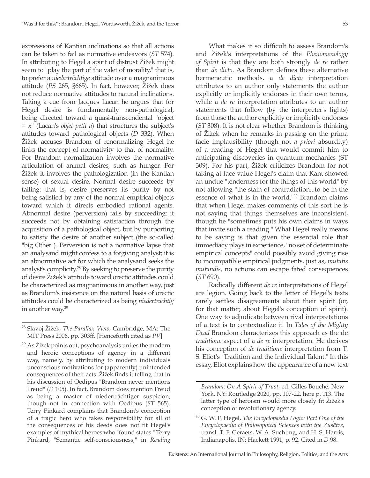expressions of Kantian inclinations so that all actions can be taken to fail as normative endeavors (*ST* 574). In attributing to Hegel a spirit of distrust Žižek might seem to "play the part of the valet of morality," that is, to prefer a *niederträchtige* attitude over a magnanimous attitude (*PS* 265, §665). In fact, however, Žižek does not reduce normative attitudes to natural inclinations. Taking a cue from Jacques Lacan he argues that for Hegel desire is fundamentally non-pathological, being directed toward a quasi-transcendental "object  $= x''$  (Lacan's *objet petit a*) that structures the subject's attitudes toward pathological objects (*D* 332). When Žižek accuses Brandom of renormalizing Hegel he links the concept of normativity to that of normality. For Brandom normalization involves the normative articulation of animal desires, such as hunger. For Žižek it involves the pathologization (in the Kantian sense) of sexual desire. Normal desire succeeds by failing: that is, desire preserves its purity by not being satisfied by any of the normal empirical objects toward which it directs embodied rational agents. Abnormal desire (perversion) fails by succeeding: it succeeds not by obtaining satisfaction through the acquisition of a pathological object, but by purporting to satisfy the desire of another subject (the so-called "big Other"). Perversion is not a normative lapse that an analysand might confess to a forgiving analyst; it is an abnormative act for which the analysand seeks the analyst's complicity.28 By seeking to preserve the purity of desire Žižek's attitude toward orectic attitudes could be characterized as magnanimous in another way, just as Brandom's insistence on the natural basis of orectic attitudes could be characterized as being *niederträchtig* in another way.<sup>29</sup>

 $29$  As Žižek points out, psychoanalysis unites the modern and heroic conceptions of agency in a different way, namely, by attributing to modern individuals unconscious motivations for (apparently) unintended consequences of their acts. Žižek finds it telling that in his discussion of Oedipus "Brandom never mentions Freud" (*D* 105). In fact, Brandom does mention Freud as being a master of niederträchtiger suspicion, though not in connection with Oedipus (*ST* 565). Terry Pinkard complains that Brandom's conception of a tragic hero who takes responsibility for all of the consequences of his deeds does not fit Hegel's examples of mythical heroes who "found states." Terry Pinkard, "Semantic self-consciousness," in *Reading* 

What makes it so difficult to assess Brandom's and Žižek's interpretations of the *Phenomenology of Spirit* is that they are both strongly *de re* rather than *de dicto*. As Brandom defines these alternative hermeneutic methods, a *de dicto* interpretation attributes to an author only statements the author explicitly or implicitly endorses in their own terms, while a *de re* interpretation attributes to an author statements that follow (by the interpreter's lights) from those the author explicitly or implicitly endorses (*ST* 308). It is not clear whether Brandom is thinking of Žižek when he remarks in passing on the prima facie implausibility (though not *a priori* absurdity) of a reading of Hegel that would commit him to anticipating discoveries in quantum mechanics (ST 309). For his part, Žižek criticizes Brandom for not taking at face value Hegel's claim that Kant showed an undue "tenderness for the things of this world" by not allowing "the stain of contradiction...to be in the essence of what is in the world."30 Brandom claims that when Hegel makes comments of this sort he is not saying that things themselves are inconsistent, though he "sometimes puts his own claims in ways that invite such a reading." What Hegel really means to be saying is that given the essential role that immediacy plays in experience, "no set of determinate empirical concepts" could possibly avoid giving rise to incompatible empirical judgments, just as, *mutatis mutandis*, no actions can escape fated consequences (*ST* 690).

Radically different *de re* interpretations of Hegel are legion. Going back to the letter of Hegel's texts rarely settles disagreements about their spirit (or, for that matter, about Hegel's conception of spirit). One way to adjudicate between rival interpretations of a text is to contextualize it. In *Tales of the Mighty Dead* Brandom characterizes this approach as the de *traditione* aspect of a *de re* interpretation. He derives his conception of *de traditione* interpretation from T. S. Eliot's "Tradition and the Individual Talent." In this essay, Eliot explains how the appearance of a new text

<sup>28</sup> Slavoj Žižek, *The Parallax View*, Cambridge, MA: The MIT Press 2006, pp. 303ff. [Henceforth cited as *PV*]

*Brandom: On A Spirit of Trust*, ed. Gilles Bouché, New York, NY: Routledge 2020, pp. 107-22, here p. 113. The latter type of heroism would more closely fit Žižek's conception of revolutionary agency.

<sup>30</sup> G. W. F. Hegel, *The Encyclopaedia Logic: Part One of the Encyclopaedia of Philosophical Sciences with the Zusätze*, transl. T. F. Geraets, W. A. Suchting, and H. S. Harris, Indianapolis, IN: Hackett 1991, p. 92. Cited in *D* 98.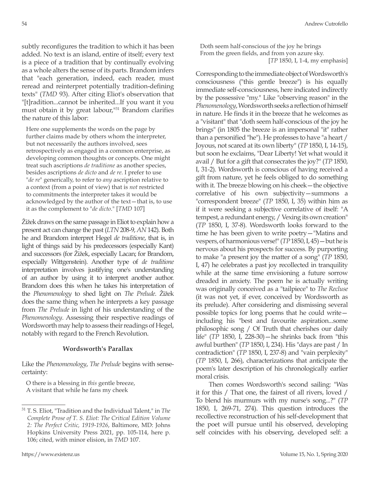subtly reconfigures the tradition to which it has been added. No text is an island, entire of itself; every text is a piece of a tradition that by continually evolving as a whole alters the sense of its parts. Brandom infers that "each generation, indeed, each reader, must reread and reinterpret potentially tradition-defining texts" (*TMD* 93). After citing Eliot's observation that "[t]radition...cannot be inherited...If you want it you must obtain it by great labour,<sup>131</sup> Brandom clarifies the nature of this labor:

Here one supplements the words on the page by further claims made by others whom the interpreter, but not necessarily the authors involved, sees retrospectively as engaged in a common enterprise, as developing common thoughts or concepts. One might treat such ascriptions *de traditione* as another species, besides ascriptions *de dicto* and *de re*. I prefer to use "*de re*" generically, to refer to *any* ascription relative to a context (from a point of view) that is *not* restricted to commitments the interpreter takes it would be acknowledged by the author of the text—that is, to use it as the complement to "*de dicto*." [*TMD* 107]

Žižek draws on the same passage in Eliot to explain how a present act can change the past (*LTN* 208-9, *AN* 142). Both he and Brandom interpret Hegel *de traditione*, that is, in light of things said by his predecessors (especially Kant) and successors (for Žižek, especially Lacan; for Brandom, especially Wittgenstein). Another type of *de traditione* interpretation involves justifying one's understanding of an author by using it to interpret another author. Brandom does this when he takes his interpretation of the *Phenomenology* to shed light on *The Prelude*. Žižek does the same thing when he interprets a key passage from *The Prelude* in light of his understanding of the *Phenomenology*. Assessing their respective readings of Wordsworth may help to assess their readings of Hegel, notably with regard to the French Revolution.

### **Wordsworth's Parallax**

Like the *Phenomenology*, *The Prelude* begins with sensecertainty:

O there is a blessing in *this* gentle breeze, A visitant that while he fans my cheek

Doth seem half-conscious of the joy he brings From the green fields, and from yon azure sky. [*TP* 1850, I, 1-4, my emphasis]

Corresponding to the immediate object of Wordsworth's consciousness ("this gentle breeze") is his equally immediate self-consciousness, here indicated indirectly by the possessive "my." Like "observing reason" in the *Phenomenology*, Wordsworth seeks a reflection of himself in nature. He finds it in the breeze that he welcomes as a "visitant" that "doth seem half-conscious of the joy he brings" (in 1805 the breeze is an impersonal "it" rather than a personified "he"). He professes to have "a heart / Joyous, not scared at its own liberty" (*TP* 1850, I, 14-15), but soon he exclaims, "Dear Liberty! Yet what would it avail / But for a gift that consecrates the joy?" (*TP* 1850, I, 31-2). Wordsworth is conscious of having received a gift from nature, yet he feels obliged to do something with it. The breeze blowing on his cheek—the objective correlative of his own subjectivity—summons a "correspondent breeze" (*TP* 1850, I, 35) within him as if it were seeking a subjective correlative of itself: "A tempest, a redundant energy, / Vexing its own creation" (*TP* 1850, I, 37-8). Wordsworth looks forward to the time he has been given to write poetry—"Matins and vespers, of harmonious verse!" (*TP* 1850, I, 45)—but he is nervous about his prospects for success. By purporting to make "a present joy the matter of a song" (*TP* 1850, I, 47) he celebrates a past joy recollected in tranquility while at the same time envisioning a future sorrow dreaded in anxiety. The poem he is actually writing was originally conceived as a "tailpiece" to *The Recluse* (it was not yet, if ever, conceived by Wordsworth as its prelude). After considering and dismissing several possible topics for long poems that he could write including his "best and favourite aspiration...some philosophic song / Of Truth that cherishes our daily life" (*TP* 1850, I, 228-30)—he shrinks back from "this awful burthen" (*TP* 1850, I, 234). His "days are past / In contradiction" (*TP* 1850, I, 237-8) and "vain perplexity" (*TP* 1850, I, 266), characterizations that anticipate the poem's later description of his chronologically earlier moral crisis.

Then comes Wordsworth's second sailing: "Was it for this / That one, the fairest of all rivers, loved / To blend his murmurs with my nurse's song...?" (*TP* 1850, I, 269-71, 274). This question introduces the recollective reconstruction of his self-development that the poet will pursue until his observed, developing self coincides with his observing, developed self: a

<sup>31</sup> T. S. Eliot, "Tradition and the Individual Talent," in *The Complete Prose of T. S. Eliot: The Critical Edition Volume 2: The Perfect Critic, 1919-1926*, Baltimore, MD: Johns Hopkins University Press 2021, pp. 105-114, here p. 106; cited, with minor elision, in *TMD* 107.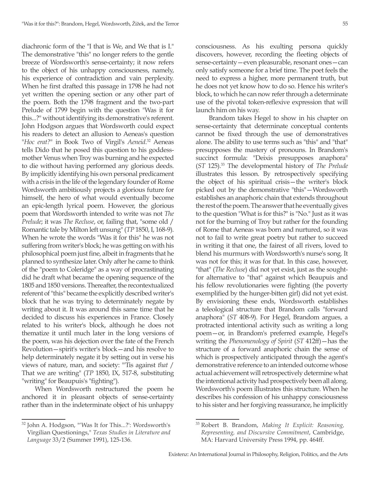diachronic form of the "I that is We, and We that is I." The demonstrative "this" no longer refers to the gentle breeze of Wordsworth's sense-certainty; it now refers to the object of his unhappy consciousness, namely, his experience of contradiction and vain perplexity. When he first drafted this passage in 1798 he had not yet written the opening section or any other part of the poem. Both the 1798 fragment and the two-part Prelude of 1799 begin with the question "Was it for this...?" without identifying its demonstrative's referent. John Hodgson argues that Wordsworth could expect his readers to detect an allusion to Aeneas's question "*Hoc erat?*" in Book Two of Virgil's *Aeneid*. 32 Aeneas tells Dido that he posed this question to his goddessmother Venus when Troy was burning and he expected to die without having performed any glorious deeds. By implicitly identifying his own personal predicament with a crisis in the life of the legendary founder of Rome Wordsworth ambitiously projects a glorious future for himself, the hero of what would eventually become an epic-length lyrical poem. However, the glorious poem that Wordsworth intended to write was not *The Prelude*; it was *The Recluse*, or, failing that, "some old / Romantic tale by Milton left unsung" (*TP* 1850, I, 168-9). When he wrote the words "Was it for this" he was not suffering from writer's block; he was getting on with his philosophical poem just fine, albeit in fragments that he planned to synthesize later. Only after he came to think of the "poem to Coleridge" as a way of procrastinating did he draft what became the opening sequence of the 1805 and 1850 versions. Thereafter, the recontextualized referent of "this" became the explicitly described writer's block that he was trying to determinately negate by writing about it. It was around this same time that he decided to discuss his experiences in France. Closely related to his writer's block, although he does not thematize it until much later in the long versions of the poem, was his dejection over the fate of the French Revolution—spirit's writer's block—and his resolve to help determinately negate it by setting out in verse his views of nature, man, and society: "'Tis against *that* / That we are writing" (*TP* 1850, IX, 517-8, substituting "writing" for Beaupuis's "fighting").

When Wordsworth restructured the poem he anchored it in pleasant objects of sense-certainty rather than in the indeterminate object of his unhappy consciousness. As his exulting persona quickly discovers, however, recording the fleeting objects of sense-certainty—even pleasurable, resonant ones—can only satisfy someone for a brief time. The poet feels the need to express a higher, more permanent truth, but he does not yet know how to do so. Hence his writer's block, to which he can now refer through a determinate use of the pivotal token-reflexive expression that will launch him on his way.

Brandom takes Hegel to show in his chapter on sense-certainty that determinate conceptual contents cannot be fixed through the use of demonstratives alone. The ability to use terms such as "this" and "that" presupposes the mastery of pronouns. In Brandom's succinct formula: "Deixis presupposes anaphora" (*ST* 125).33 The developmental history of *The Prelude*  illustrates this lesson. By retrospectively specifying the object of his spiritual crisis—the writer's block picked out by the demonstrative "this"—Wordsworth establishes an anaphoric chain that extends throughout the rest of the poem. The answer that he eventually gives to the question "What is for this?" is "No." Just as it was not for the burning of Troy but rather for the founding of Rome that Aeneas was born and nurtured, so it was not to fail to write great poetry but rather to succeed in writing it that one, the fairest of all rivers, loved to blend his murmurs with Wordsworth's nurse's song. It was not for this; it was for that. In this case, however, "that" (*The Recluse*) did not yet exist, just as the soughtfor alternative to "that" against which Beaupuis and his fellow revolutionaries were fighting (the poverty exemplified by the hunger-bitten girl) did not yet exist. By envisioning these ends, Wordsworth establishes a teleological structure that Brandom calls "forward anaphora" (*ST* 408-9). For Hegel, Brandom argues, a protracted intentional activity such as writing a long poem—or, in Brandom's preferred example, Hegel's writing the *Phenomenology of Spirit* (*ST* 412ff)—has the structure of a forward anaphoric chain the sense of which is prospectively anticipated through the agent's demonstrative reference to an intended outcome whose actual achievement will retrospectively determine what the intentional activity had prospectively been all along. Wordsworth's poem illustrates this structure. When he describes his confession of his unhappy consciousness to his sister and her forgiving reassurance, he implicitly

<sup>32</sup> John A. Hodgson, "'Was It for This...?': Wordsworth's Virgilian Questionings," *Texas Studies in Literature and Language* 33/2 (Summer 1991), 125-136.

<sup>33</sup> Robert B. Brandom, *Making It Explicit: Reasoning, Representing, and Discursive Commitment*, Cambridge, MA: Harvard University Press 1994, pp. 464ff.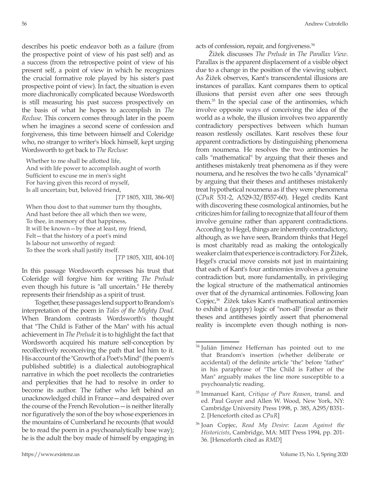describes his poetic endeavor both as a failure (from the prospective point of view of his past self) and as a success (from the retrospective point of view of his present self, a point of view in which he recognizes the crucial formative role played by his sister's past prospective point of view). In fact, the situation is even more diachronically complicated because Wordsworth is still measuring his past success prospectively on the basis of what he hopes to accomplish in *The Recluse*. This concern comes through later in the poem when he imagines a second scene of confession and forgiveness, this time between himself and Coleridge who, no stranger to writer's block himself, kept urging Wordsworth to get back to *The Recluse*:

Whether to me shall be allotted life, And with life power to accomplish aught of worth Sufficient to excuse me in men's sight For having given this record of myself, Is all uncertain; but, belovèd friend,

[*TP* 1805, XIII, 386-90]

When thou dost to that summer turn thy thoughts, And hast before thee all which then we were, To thee, in memory of that happiness, It will be known—by thee at least, my friend, Felt—that the history of a poet's mind Is labour not unworthy of regard: To thee the work shall justify itself.

[*TP* 1805, XIII, 404-10]

In this passage Wordsworth expresses his trust that Coleridge will forgive him for writing *The Prelude*  even though his future is "all uncertain." He thereby represents their friendship as a spirit of trust.

Together, these passages lend support to Brandom's interpretation of the poem in *Tales of the Mighty Dead*. When Brandom contrasts Wordsworth's thought that "The Child is Father of the Man" with his actual achievement in *The Prelude* it is to highlight the fact that Wordsworth acquired his mature self-conception by recollectively reconceiving the path that led him to it. His account of the "Growth of a Poet's Mind" (the poem's published subtitle) is a dialectical autobiographical narrative in which the poet recollects the contrarieties and perplexities that he had to resolve in order to become its author. The father who left behind an unacknowledged child in France—and despaired over the course of the French Revolution—is neither literally nor figuratively the son of the boy whose experiences in the mountains of Cumberland he recounts (that would be to read the poem in a psychoanalytically base way); he is the adult the boy made of himself by engaging in acts of confession, repair, and forgiveness.34

Žižek discusses *The Prelude* in *The Parallax View*. Parallax is the apparent displacement of a visible object due to a change in the position of the viewing subject. As Žižek observes, Kant's transcendental illusions are instances of parallax. Kant compares them to optical illusions that persist even after one sees through them.35 In the special case of the antinomies, which involve opposite ways of conceiving the idea of the world as a whole, the illusion involves two apparently contradictory perspectives between which human reason restlessly oscillates. Kant resolves these four apparent contradictions by distinguishing phenomena from noumena. He resolves the two antinomies he calls "mathematical" by arguing that their theses and antitheses mistakenly treat phenomena as if they were noumena, and he resolves the two he calls "dynamical" by arguing that their theses and antitheses mistakenly treat hypothetical noumena as if they were phenomena (*CPuR* 531-2, A529-32/B557-60). Hegel credits Kant with discovering these cosmological antinomies, but he criticizes him for failing to recognize that all four of them involve genuine rather than apparent contradictions. According to Hegel, things are inherently contradictory, although, as we have seen, Brandom thinks that Hegel is most charitably read as making the ontologically weaker claim that experience is contradictory. For Žižek, Hegel's crucial move consists not just in maintaining that each of Kant's four antinomies involves a genuine contradiction but, more fundamentally, in privileging the logical structure of the mathematical antinomies over that of the dynamical antinomies. Following Joan Copjec,<sup>36</sup> Žižek takes Kant's mathematical antinomies to exhibit a (gappy) logic of "non-all" (insofar as their theses and antitheses jointly assert that phenomenal reality is incomplete even though nothing is non-

<sup>&</sup>lt;sup>34</sup> Julián Jiménez Heffernan has pointed out to me that Brandom's insertion (whether deliberate or accidental) of the definite article "the" before "father" in his paraphrase of "The Child is Father of the Man" arguably makes the line more susceptible to a psychoanalytic reading.

<sup>35</sup> Immanuel Kant, *Critique of Pure Reason*, transl. and ed. Paul Guyer and Allen W. Wood, New York, NY: Cambridge University Press 1998, p. 385, A295/B351- 2. [Henceforth cited as *CPuR*]

<sup>36</sup> Joan Copjec, *Read My Desire: Lacan Against the Historicists*, Cambridge, MA: MIT Press 1994, pp. 201- 36. [Henceforth cited as *RMD*]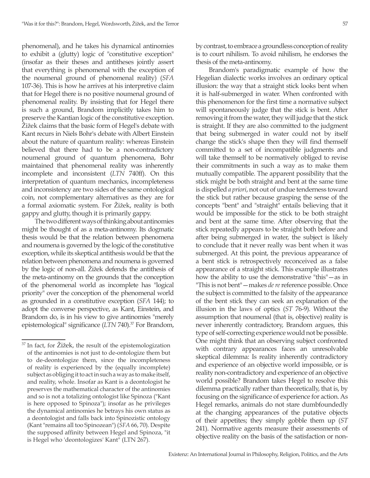phenomenal), and he takes his dynamical antinomies to exhibit a (glutty) logic of "constitutive exception" (insofar as their theses and antitheses jointly assert that everything is phenomenal with the exception of the noumenal ground of phenomenal reality) (*SFA*  107-36). This is how he arrives at his interpretive claim that for Hegel there is no positive noumenal ground of phenomenal reality. By insisting that for Hegel there is such a ground, Brandom implicitly takes him to preserve the Kantian logic of the constitutive exception. Žižek claims that the basic form of Hegel's debate with Kant recurs in Niels Bohr's debate with Albert Einstein about the nature of quantum reality: whereas Einstein believed that there had to be a non-contradictory noumenal ground of quantum phenomena, Bohr maintained that phenomenal reality was inherently incomplete and inconsistent (*LTN* 740ff). On this interpretation of quantum mechanics, incompleteness and inconsistency are two sides of the same ontological coin, not complementary alternatives as they are for a formal axiomatic system. For Žižek, reality is both gappy and glutty, though it is primarily gappy.

The two different ways of thinking about antinomies might be thought of as a meta-antinomy. Its dogmatic thesis would be that the relation between phenomena and noumena is governed by the logic of the constitutive exception, while its skeptical antithesis would be that the relation between phenomena and noumena is governed by the logic of non-all. Žižek defends the antithesis of the meta-antinomy on the grounds that the conception of the phenomenal world as incomplete has "logical priority" over the conception of the phenomenal world as grounded in a constitutive exception (*SFA* 144); to adopt the converse perspective, as Kant, Einstein, and Brandom do, is in his view to give antinomies "merely epistemological" significance (LTN 740).<sup>37</sup> For Brandom, by contrast, to embrace a groundless conception of reality is to court nihilism. To avoid nihilism, he endorses the thesis of the meta-antinomy.

Brandom's paradigmatic example of how the Hegelian dialectic works involves an ordinary optical illusion: the way that a straight stick looks bent when it is half-submerged in water. When confronted with this phenomenon for the first time a normative subject will spontaneously judge that the stick is bent. After removing it from the water, they will judge that the stick is straight. If they are also committed to the judgment that being submerged in water could not by itself change the stick's shape then they will find themself committed to a set of incompatible judgments and will take themself to be normatively obliged to revise their commitments in such a way as to make them mutually compatible. The apparent possibility that the stick might be both straight and bent at the same time is dispelled *a priori*, not out of undue tenderness toward the stick but rather because grasping the sense of the concepts "bent" and "straight" entails believing that it would be impossible for the stick to be both straight and bent at the same time. After observing that the stick repeatedly appears to be straight both before and after being submerged in water, the subject is likely to conclude that it never really was bent when it was submerged. At this point, the previous appearance of a bent stick is retrospectively reconceived as a false appearance of a straight stick. This example illustrates how the ability to use the demonstrative "this"—as in "This is not bent"—makes *de re* reference possible. Once the subject is committed to the falsity of the appearance of the bent stick they can seek an explanation of the illusion in the laws of optics (*ST* 76-9). Without the assumption that noumenal (that is, objective) reality is never inherently contradictory, Brandom argues, this type of self-correcting experience would not be possible. One might think that an observing subject confronted with contrary appearances faces an unresolvable skeptical dilemma: Is reality inherently contradictory and experience of an objective world impossible, or is reality non-contradictory and experience of an objective world possible? Brandom takes Hegel to resolve this dilemma practically rather than theoretically, that is, by focusing on the significance of experience for action. As Hegel remarks, animals do not stare dumbfoundedly at the changing appearances of the putative objects of their appetites; they simply gobble them up (*ST* 241). Normative agents measure their assessments of objective reality on the basis of the satisfaction or non-

<sup>&</sup>lt;sup>37</sup> In fact, for Žižek, the result of the epistemologization of the antinomies is not just to de-ontologize them but to de-deontologize them, since the incompleteness of reality is experienced by the (equally incomplete) subject as obliging it to act in such a way as to make itself, and reality, whole. Insofar as Kant is a deontologist he preserves the mathematical character of the antinomies and so is not a totalizing ontologist like Spinoza ("Kant is here opposed to Spinoza"); insofar as he privileges the dynamical antinomies he betrays his own status as a deontologist and falls back into Spinozistic ontology (Kant "remains all too Spinozean") (*SFA* 66, 70). Despite the supposed affinity between Hegel and Spinoza, "it is Hegel who 'deontologizes' Kant" (LTN 267).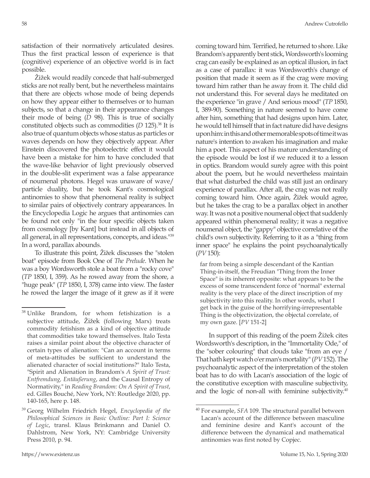satisfaction of their normatively articulated desires. Thus the first practical lesson of experience is that (cognitive) experience of an objective world is in fact possible.

Žižek would readily concede that half-submerged sticks are not really bent, but he nevertheless maintains that there are objects whose mode of being depends on how they appear either to themselves or to human subjects, so that a change in their appearance changes their mode of being (*D* 98). This is true of socially constituted objects such as commodities (*D* 125).<sup>38</sup> It is also true of quantum objects whose status as particles or waves depends on how they objectively appear. After Einstein discovered the photoelectric effect it would have been a mistake for him to have concluded that the wave-like behavior of light previously observed in the double-slit experiment was a false appearance of noumenal photons. Hegel was unaware of wave/ particle duality, but he took Kant's cosmological antinomies to show that phenomenal reality is subject to similar pairs of objectively contrary appearances. In the Encyclopedia Logic he argues that antinomies can be found not only "in the four specific objects taken from cosmology [by Kant] but instead in all objects of all general, in all representations, concepts, and ideas."39 In a word, parallax abounds.

To illustrate this point, Žižek discusses the "stolen boat" episode from Book One of *The Prelude*. When he was a boy Wordsworth stole a boat from a "rocky cove" (*TP* 1850, I, 359). As he rowed away from the shore, a "huge peak" (*TP* 1850, I, 378) came into view. The faster he rowed the larger the image of it grew as if it were

coming toward him. Terrified, he returned to shore. Like Brandom's apparently bent stick, Wordsworth's looming crag can easily be explained as an optical illusion, in fact as a case of parallax: it was Wordsworth's change of position that made it seem as if the crag were moving toward him rather than he away from it. The child did not understand this. For several days he meditated on the experience "in grave / And serious mood" (*TP* 1850, I, 389-90). Something in nature seemed to have come after him, something that had designs upon him. Later, he would tell himself that in fact nature did have designs upon him: in this and other memorable spots of time it was nature's intention to awaken his imagination and make him a poet. This aspect of his mature understanding of the episode would be lost if we reduced it to a lesson in optics. Brandom would surely agree with this point about the poem, but he would nevertheless maintain that what disturbed the child was still just an ordinary experience of parallax. After all, the crag was not really coming toward him. Once again, Žižek would agree, but he takes the crag to be a parallax object in another way. It was not a positive noumenal object that suddenly appeared within phenomenal reality; it was a negative noumenal object, the "gappy" objective correlative of the child's own subjectivity. Referring to it as a "thing from inner space" he explains the point psychoanalytically (*PV* 150):

far from being a simple descendant of the Kantian Thing-in-itself, the Freudian "Thing from the Inner Space" is its inherent opposite: what appears to be the excess of some transcendent force of "normal" external reality is the very place of the direct inscription of my subjectivity into this reality. In other words, what I get back in the guise of the horrifying-irrepresentable Thing is the objectivization, the objectal correlate, of my own gaze. [*PV* 151-2]

In support of this reading of the poem Žižek cites Wordsworth's description, in the "Immortality Ode," of the "sober colouring" that clouds take "from an eye / That hath kept watch o'er man's mortality" (*PV* 152). The psychoanalytic aspect of the interpretation of the stolen boat has to do with Lacan's association of the logic of the constitutive exception with masculine subjectivity, and the logic of non-all with feminine subjectivity.<sup>40</sup>

<sup>38</sup> Unlike Brandom, for whom fetishization is a subjective attitude, Žižek (following Marx) treats commodity fetishism as a kind of objective attitude that commodities take toward themselves. Italo Testa raises a similar point about the objective character of certain types of alienation: "Can an account in terms of meta-attitudes be sufficient to understand the alienated character of social institutions?" Italo Testa, "Spirit and Alienation in Brandom's *A Spirit of Trust: Entfremdung, Entäußerung*, and the Causal Entropy of Normativity," in *Reading Brandom: On A Spirit of Trust*, ed. Gilles Bouché, New York, NY: Routledge 2020, pp. 140-165, here p. 148.

<sup>39</sup> Georg Wilhelm Friedrich Hegel, *Encyclopedia of the Philosophical Sciences in Basic Outline: Part I: Science of Logic*, transl. Klaus Brinkmann and Daniel O. Dahlstrom, New York, NY: Cambridge University Press 2010, p. 94.

<sup>40</sup> For example, *SFA* 109. The structural parallel between Lacan's account of the difference between masculine and feminine desire and Kant's account of the difference between the dynamical and mathematical antinomies was first noted by Copjec.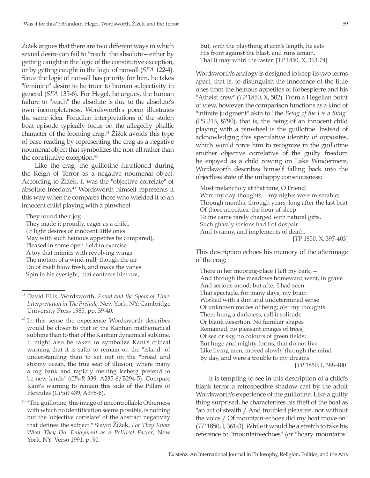Žižek argues that there are two different ways in which sexual desire can fail to "reach" the absolute—either by getting caught in the logic of the constitutive exception, or by getting caught in the logic of non-all (*SFA* 122-4). Since the logic of non-all has priority for him, he takes "feminine" desire to be truer to human subjectivity in general (*SFA* 135-6). For Hegel, he argues, the human failure to "reach" the absolute is due to the absolute's own incompleteness. Wordsworth's poem illustrates the same idea. Freudian interpretations of the stolen boat episode typically focus on the allegedly phallic character of the looming crag.<sup>41</sup> Žižek avoids this type of base reading by representing the crag as a negative noumenal object that symbolizes the non-all rather than the constitutive exception.<sup>42</sup>

Like the crag, the guillotine functioned during the Reign of Terror as a negative noumenal object. According to Žižek, it was the "objective correlate" of absolute freedom.43 Wordsworth himself represents it this way when he compares those who wielded it to an innocent child playing with a pinwheel:

They found their joy,

They made it proudly, eager as a child, (If light desires of innocent little ones May with such heinous appetites be compared), Pleased in some open field to exercise A toy that mimics with revolving wings The motion of a wind-mill; though the air Do of itself blow fresh, and make the vanes Spin in his eyesight, that contents him not,

<sup>43</sup> "The guillotine, this image of uncontrollable Otherness with which no identification seems possible, is nothing but the 'objective correlate' of the abstract negativity that defines the subject." Slavoj Žižek, *For They Know What They Do: Enjoyment as a Political Factor*, New York, NY: Verso 1991, p. 90.

But, with the plaything at arm's length, he sets His front against the blast, and runs amain, That it may whirl the faster. [TP 1850, X, 363-74]

Wordsworth's analogy is designed to keep its two terms apart, that is, to distinguish the innocence of the little ones from the heinous appetites of Robespierre and his "Atheist crew" (*TP* 1850, X, 502). From a Hegelian point of view, however, the comparison functions as a kind of "infinite judgment" akin to "the *Being of the I is a thing*" (PS 313, §790), that is, the being of an innocent child playing with a pinwheel is the guillotine. Instead of acknowledging this speculative identity of opposites, which would force him to recognize in the guillotine another objective correlative of the guilty freedom he enjoyed as a child rowing on Lake Windermere, Wordsworth describes himself falling back into the objectless state of the unhappy consciousness:

Most melancholy at that time, O Friend! Were my day-thoughts, — my nights were miserable; Through months, through years, long after the last beat Of those atrocities, the hour of sleep To me came rarely charged with natural gifts, Such ghastly visions had I of despair And tyranny, and implements of death.

[*TP* 1850, X, 397-403]

This description echoes his memory of the afterimage of the crag:

There in her mooring-place I left my bark,— And through the meadows homeward went, in grave And serious mood; but after I had seen That spectacle, for many days, my brain Worked with a dim and undetermined sense Of unknown modes of being; o'er my thoughts There hung a darkness, call it solitude Or blank desertion. No familiar shapes Remained, no pleasant images of trees, Of sea or sky, no colours of green fields; But huge and mighty forms, that do not live Like living men, moved slowly through the mind By day, and were a trouble to my dreams. [*TP* 1850, I, 388-400]

It is tempting to see in this description of a child's blank terror a retrospective shadow cast by the adult Wordsworth's experience of the guillotine. Like a guilty thing surprised, he characterizes his theft of the boat as "an act of stealth / And troubled pleasure, nor without the voice / Of mountain-echoes did my boat move on" (*TP* 1850, I, 361-3). While it would be a stretch to take his reference to "mountain-echoes" (or "hoary mountains"

<sup>41</sup> David Ellis, Wordsworth, *Freud and the Spots of Time: Interpretation in The Prelude*, New York, NY: Cambridge University Press 1985, pp. 39-40.

<sup>&</sup>lt;sup>42</sup> In this sense the experience Wordsworth describes would be closer to that of the Kantian mathematical sublime than to that of the Kantian dynamical sublime. It might also be taken to symbolize Kant's critical warning that it is safer to remain on the "island" of understanding than to set out on the "broad and stormy ocean, the true seat of illusion, where many a fog bank and rapidly melting iceberg pretend to be new lands" (*CPuR* 339, A235-6/B294-5). Compare Kant's warning to remain this side of the Pillars of Hercules (*CPuR* 439, A395-6).